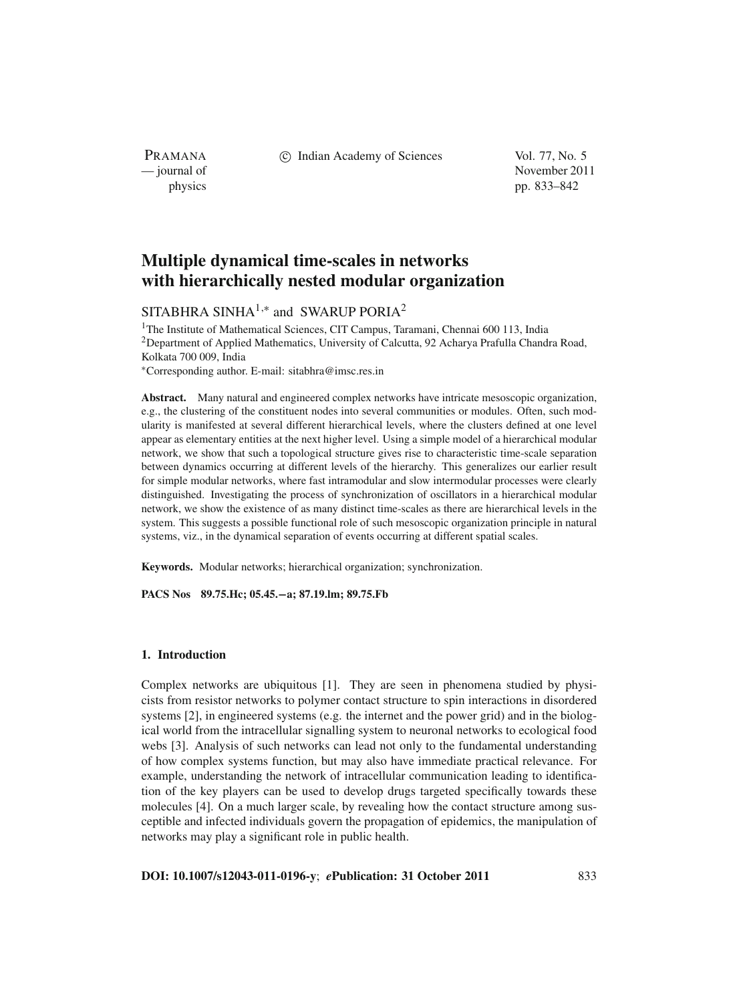PRAMANA

c Indian Academy of Sciences Vol. 77, No. 5

— journal of November 2011 physics pp. 833–842

# **Multiple dynamical time-scales in networks with hierarchically nested modular organization**

# SITABHRA SINHA<sup>1,\*</sup> and SWARUP PORIA<sup>2</sup>

<sup>1</sup>The Institute of Mathematical Sciences, CIT Campus, Taramani, Chennai 600 113, India 2Department of Applied Mathematics, University of Calcutta, 92 Acharya Prafulla Chandra Road, Kolkata 700 009, India <sup>∗</sup>Corresponding author. E-mail: sitabhra@imsc.res.in

**Abstract.** Many natural and engineered complex networks have intricate mesoscopic organization, e.g., the clustering of the constituent nodes into several communities or modules. Often, such modularity is manifested at several different hierarchical levels, where the clusters defined at one level appear as elementary entities at the next higher level. Using a simple model of a hierarchical modular network, we show that such a topological structure gives rise to characteristic time-scale separation between dynamics occurring at different levels of the hierarchy. This generalizes our earlier result for simple modular networks, where fast intramodular and slow intermodular processes were clearly distinguished. Investigating the process of synchronization of oscillators in a hierarchical modular network, we show the existence of as many distinct time-scales as there are hierarchical levels in the system. This suggests a possible functional role of such mesoscopic organization principle in natural systems, viz., in the dynamical separation of events occurring at different spatial scales.

**Keywords.** Modular networks; hierarchical organization; synchronization.

**PACS Nos 89.75.Hc; 05.45.−a; 87.19.lm; 89.75.Fb**

# **1. Introduction**

Complex networks are ubiquitous [1]. They are seen in phenomena studied by physicists from resistor networks to polymer contact structure to spin interactions in disordered systems [2], in engineered systems (e.g. the internet and the power grid) and in the biological world from the intracellular signalling system to neuronal networks to ecological food webs [3]. Analysis of such networks can lead not only to the fundamental understanding of how complex systems function, but may also have immediate practical relevance. For example, understanding the network of intracellular communication leading to identification of the key players can be used to develop drugs targeted specifically towards these molecules [4]. On a much larger scale, by revealing how the contact structure among susceptible and infected individuals govern the propagation of epidemics, the manipulation of networks may play a significant role in public health.

**DOI: 10.1007/s12043-011-0196-y**; *e***Publication: 31 October 2011** 833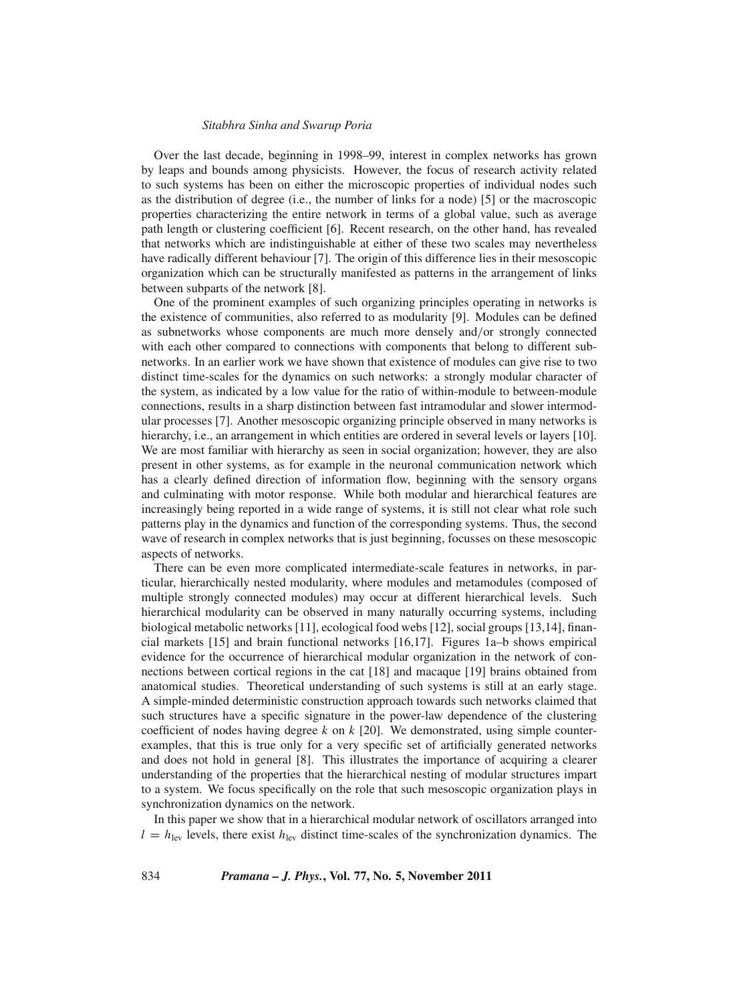Over the last decade, beginning in 1998–99, interest in complex networks has grown by leaps and bounds among physicists. However, the focus of research activity related to such systems has been on either the microscopic properties of individual nodes such as the distribution of degree (i.e., the number of links for a node) [5] or the macroscopic properties characterizing the entire network in terms of a global value, such as average path length or clustering coefficient [6]. Recent research, on the other hand, has revealed that networks which are indistinguishable at either of these two scales may nevertheless have radically different behaviour [7]. The origin of this difference lies in their mesoscopic organization which can be structurally manifested as patterns in the arrangement of links between subparts of the network [8].

One of the prominent examples of such organizing principles operating in networks is the existence of communities, also referred to as modularity [9]. Modules can be defined as subnetworks whose components are much more densely and/or strongly connected with each other compared to connections with components that belong to different subnetworks. In an earlier work we have shown that existence of modules can give rise to two distinct time-scales for the dynamics on such networks: a strongly modular character of the system, as indicated by a low value for the ratio of within-module to between-module connections, results in a sharp distinction between fast intramodular and slower intermodular processes [7]. Another mesoscopic organizing principle observed in many networks is hierarchy, i.e., an arrangement in which entities are ordered in several levels or layers [10]. We are most familiar with hierarchy as seen in social organization; however, they are also present in other systems, as for example in the neuronal communication network which has a clearly defined direction of information flow, beginning with the sensory organs and culminating with motor response. While both modular and hierarchical features are increasingly being reported in a wide range of systems, it is still not clear what role such patterns play in the dynamics and function of the corresponding systems. Thus, the second wave of research in complex networks that is just beginning, focusses on these mesoscopic aspects of networks.

There can be even more complicated intermediate-scale features in networks, in particular, hierarchically nested modularity, where modules and metamodules (composed of multiple strongly connected modules) may occur at different hierarchical levels. Such hierarchical modularity can be observed in many naturally occurring systems, including biological metabolic networks [11], ecological food webs [12], social groups [13,14], financial markets [15] and brain functional networks [16,17]. Figures 1a–b shows empirical evidence for the occurrence of hierarchical modular organization in the network of connections between cortical regions in the cat [18] and macaque [19] brains obtained from anatomical studies. Theoretical understanding of such systems is still at an early stage. A simple-minded deterministic construction approach towards such networks claimed that such structures have a specific signature in the power-law dependence of the clustering coefficient of nodes having degree  $k$  on  $k$  [20]. We demonstrated, using simple counterexamples, that this is true only for a very specific set of artificially generated networks and does not hold in general [8]. This illustrates the importance of acquiring a clearer understanding of the properties that the hierarchical nesting of modular structures impart to a system. We focus specifically on the role that such mesoscopic organization plays in synchronization dynamics on the network.

In this paper we show that in a hierarchical modular network of oscillators arranged into  $l = h_{\text{lev}}$  levels, there exist  $h_{\text{lev}}$  distinct time-scales of the synchronization dynamics. The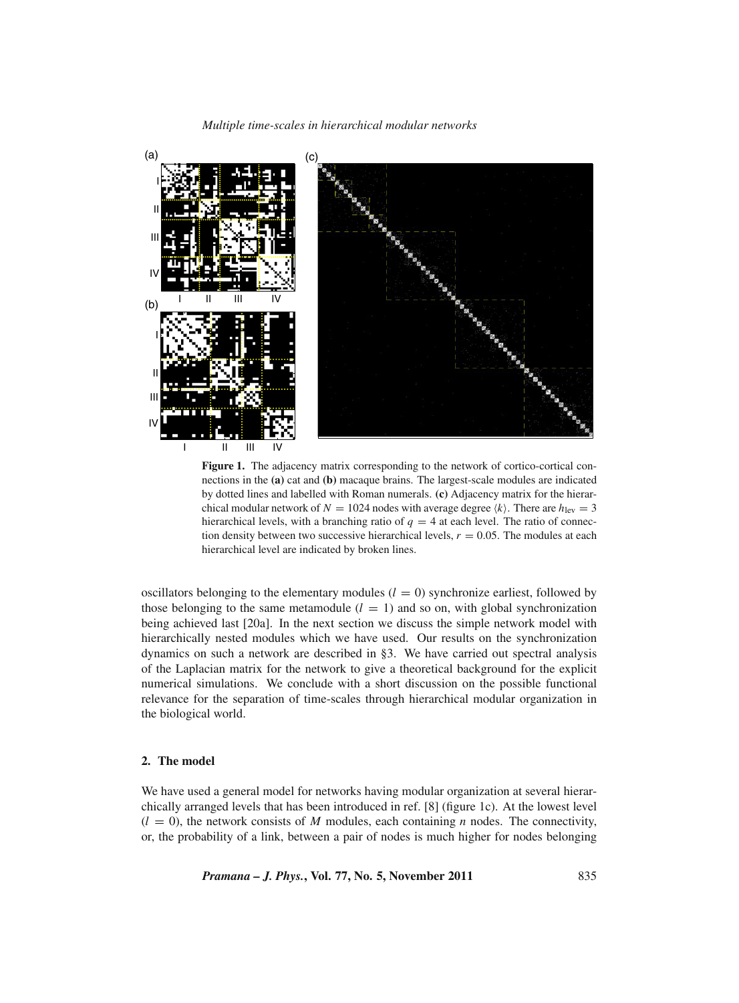*Multiple time-scales in hierarchical modular networks*



**Figure 1.** The adjacency matrix corresponding to the network of cortico-cortical connections in the **(a)** cat and **(b)** macaque brains. The largest-scale modules are indicated by dotted lines and labelled with Roman numerals. **(c)** Adjacency matrix for the hierarchical modular network of  $N = 1024$  nodes with average degree  $\langle k \rangle$ . There are  $h_{\text{lev}} = 3$ hierarchical levels, with a branching ratio of  $q = 4$  at each level. The ratio of connection density between two successive hierarchical levels,  $r = 0.05$ . The modules at each hierarchical level are indicated by broken lines.

oscillators belonging to the elementary modules  $(l = 0)$  synchronize earliest, followed by those belonging to the same metamodule  $(l = 1)$  and so on, with global synchronization being achieved last [20a]. In the next section we discuss the simple network model with hierarchically nested modules which we have used. Our results on the synchronization dynamics on such a network are described in §3. We have carried out spectral analysis of the Laplacian matrix for the network to give a theoretical background for the explicit numerical simulations. We conclude with a short discussion on the possible functional relevance for the separation of time-scales through hierarchical modular organization in the biological world.

# **2. The model**

We have used a general model for networks having modular organization at several hierarchically arranged levels that has been introduced in ref. [8] (figure 1c). At the lowest level  $(l = 0)$ , the network consists of M modules, each containing *n* nodes. The connectivity, or, the probability of a link, between a pair of nodes is much higher for nodes belonging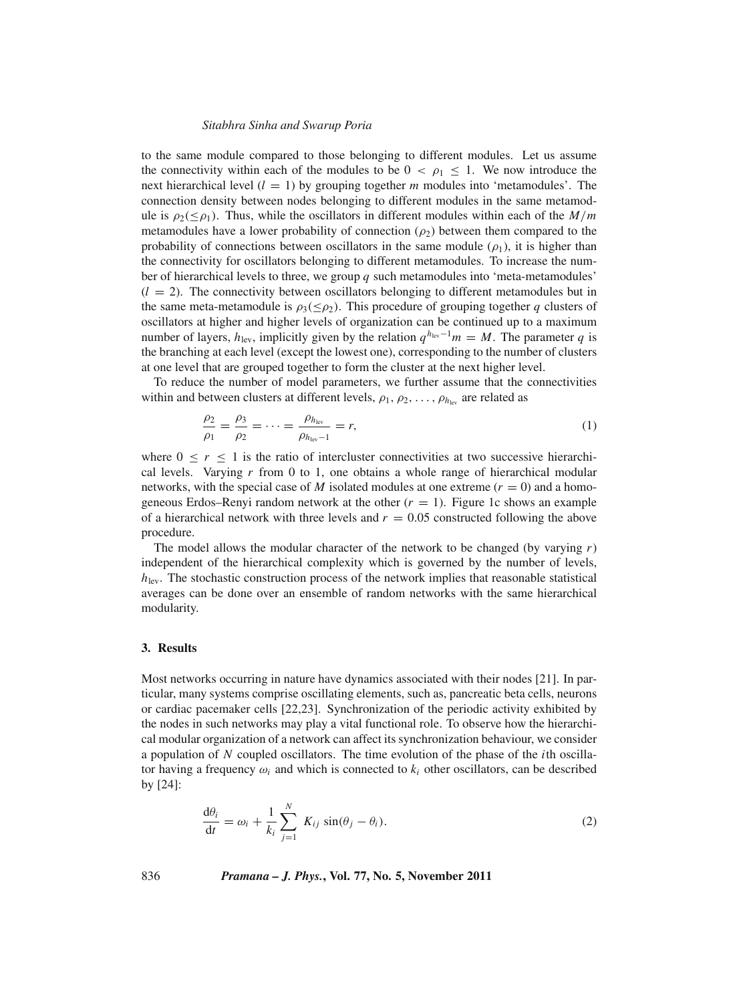to the same module compared to those belonging to different modules. Let us assume the connectivity within each of the modules to be  $0 < \rho_1 \leq 1$ . We now introduce the next hierarchical level  $(l = 1)$  by grouping together *m* modules into 'metamodules'. The connection density between nodes belonging to different modules in the same metamodule is  $\rho_2(\leq \rho_1)$ . Thus, while the oscillators in different modules within each of the *M*/*m* metamodules have a lower probability of connection ( $\rho_2$ ) between them compared to the probability of connections between oscillators in the same module  $(\rho_1)$ , it is higher than the connectivity for oscillators belonging to different metamodules. To increase the number of hierarchical levels to three, we group *q* such metamodules into 'meta-metamodules'  $(l = 2)$ . The connectivity between oscillators belonging to different metamodules but in the same meta-metamodule is  $\rho_3(\leq \rho_2)$ . This procedure of grouping together *q* clusters of oscillators at higher and higher levels of organization can be continued up to a maximum number of layers,  $h_{\text{lev}}$ , implicitly given by the relation  $q^{h_{\text{lev}}-1}m = M$ . The parameter q is the branching at each level (except the lowest one), corresponding to the number of clusters at one level that are grouped together to form the cluster at the next higher level.

To reduce the number of model parameters, we further assume that the connectivities within and between clusters at different levels,  $\rho_1, \rho_2, \ldots, \rho_{h_{\text{lev}}}$  are related as

$$
\frac{\rho_2}{\rho_1} = \frac{\rho_3}{\rho_2} = \dots = \frac{\rho_{h_{\text{lev}}}}{\rho_{h_{\text{lev}}-1}} = r,\tag{1}
$$

where  $0 \le r \le 1$  is the ratio of intercluster connectivities at two successive hierarchical levels. Varying *r* from 0 to 1, one obtains a whole range of hierarchical modular networks, with the special case of *M* isolated modules at one extreme  $(r = 0)$  and a homogeneous Erdos–Renyi random network at the other  $(r = 1)$ . Figure 1c shows an example of a hierarchical network with three levels and  $r = 0.05$  constructed following the above procedure.

The model allows the modular character of the network to be changed (by varying *r*) independent of the hierarchical complexity which is governed by the number of levels,  $h_{\text{lev}}$ . The stochastic construction process of the network implies that reasonable statistical averages can be done over an ensemble of random networks with the same hierarchical modularity.

## **3. Results**

Most networks occurring in nature have dynamics associated with their nodes [21]. In particular, many systems comprise oscillating elements, such as, pancreatic beta cells, neurons or cardiac pacemaker cells [22,23]. Synchronization of the periodic activity exhibited by the nodes in such networks may play a vital functional role. To observe how the hierarchical modular organization of a network can affect its synchronization behaviour, we consider a population of *N* coupled oscillators. The time evolution of the phase of the *i*th oscillator having a frequency  $\omega_i$  and which is connected to  $k_i$  other oscillators, can be described by [24]:

$$
\frac{d\theta_i}{dt} = \omega_i + \frac{1}{k_i} \sum_{j=1}^{N} K_{ij} \sin(\theta_j - \theta_i).
$$
 (2)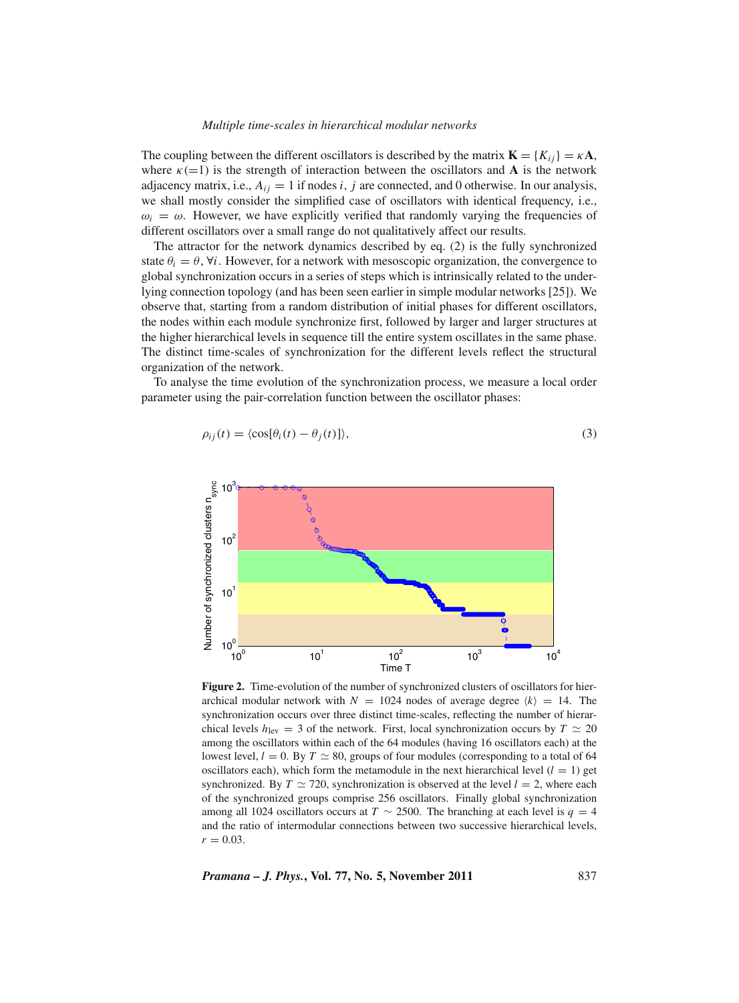#### *Multiple time-scales in hierarchical modular networks*

The coupling between the different oscillators is described by the matrix  $\mathbf{K} = \{K_{ij}\} = \kappa \mathbf{A}$ , where  $\kappa$ (=1) is the strength of interaction between the oscillators and **A** is the network adjacency matrix, i.e.,  $A_{ij} = 1$  if nodes *i*, *j* are connected, and 0 otherwise. In our analysis, we shall mostly consider the simplified case of oscillators with identical frequency, i.e.,  $\omega_i = \omega$ . However, we have explicitly verified that randomly varying the frequencies of different oscillators over a small range do not qualitatively affect our results.

The attractor for the network dynamics described by eq. (2) is the fully synchronized state  $\theta_i = \theta$ ,  $\forall i$ . However, for a network with mesoscopic organization, the convergence to global synchronization occurs in a series of steps which is intrinsically related to the underlying connection topology (and has been seen earlier in simple modular networks [25]). We observe that, starting from a random distribution of initial phases for different oscillators, the nodes within each module synchronize first, followed by larger and larger structures at the higher hierarchical levels in sequence till the entire system oscillates in the same phase. The distinct time-scales of synchronization for the different levels reflect the structural organization of the network.

To analyse the time evolution of the synchronization process, we measure a local order parameter using the pair-correlation function between the oscillator phases:

$$
\rho_{ij}(t) = \langle \cos[\theta_i(t) - \theta_j(t)] \rangle, \tag{3}
$$



**Figure 2.** Time-evolution of the number of synchronized clusters of oscillators for hierarchical modular network with  $N = 1024$  nodes of average degree  $\langle k \rangle = 14$ . The synchronization occurs over three distinct time-scales, reflecting the number of hierarchical levels  $h_{\text{lev}} = 3$  of the network. First, local synchronization occurs by  $T \simeq 20$ among the oscillators within each of the 64 modules (having 16 oscillators each) at the lowest level,  $l = 0$ . By  $T \approx 80$ , groups of four modules (corresponding to a total of 64 oscillators each), which form the metamodule in the next hierarchical level  $(l = 1)$  get synchronized. By  $T \simeq 720$ , synchronization is observed at the level  $l = 2$ , where each of the synchronized groups comprise 256 oscillators. Finally global synchronization among all 1024 oscillators occurs at  $T \sim 2500$ . The branching at each level is  $q = 4$ and the ratio of intermodular connections between two successive hierarchical levels,  $r = 0.03$ .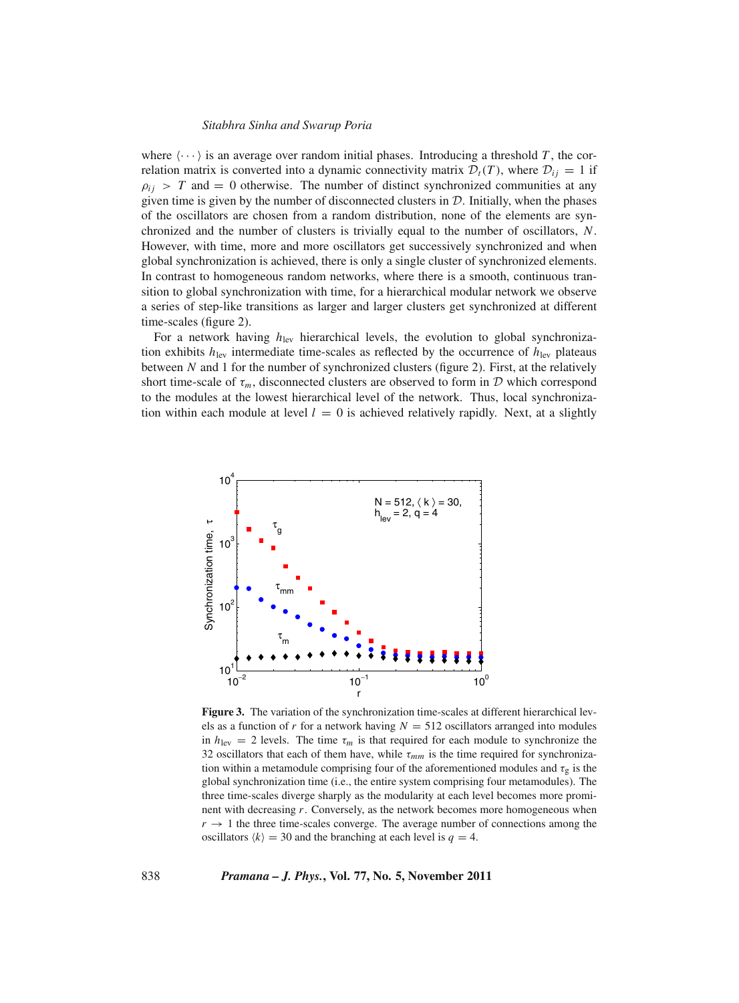where  $\langle \cdots \rangle$  is an average over random initial phases. Introducing a threshold *T*, the correlation matrix is converted into a dynamic connectivity matrix  $\mathcal{D}_t(T)$ , where  $\mathcal{D}_{ij} = 1$  if  $\rho_{ij}$  > *T* and = 0 otherwise. The number of distinct synchronized communities at any given time is given by the number of disconnected clusters in  $D$ . Initially, when the phases of the oscillators are chosen from a random distribution, none of the elements are synchronized and the number of clusters is trivially equal to the number of oscillators, *N*. However, with time, more and more oscillators get successively synchronized and when global synchronization is achieved, there is only a single cluster of synchronized elements. In contrast to homogeneous random networks, where there is a smooth, continuous transition to global synchronization with time, for a hierarchical modular network we observe a series of step-like transitions as larger and larger clusters get synchronized at different time-scales (figure 2).

For a network having  $h_{\text{lev}}$  hierarchical levels, the evolution to global synchronization exhibits  $h_{\text{lev}}$  intermediate time-scales as reflected by the occurrence of  $h_{\text{lev}}$  plateaus between *N* and 1 for the number of synchronized clusters (figure 2). First, at the relatively short time-scale of  $\tau_m$ , disconnected clusters are observed to form in  $\mathcal D$  which correspond to the modules at the lowest hierarchical level of the network. Thus, local synchronization within each module at level  $l = 0$  is achieved relatively rapidly. Next, at a slightly



**Figure 3.** The variation of the synchronization time-scales at different hierarchical levels as a function of  $r$  for a network having  $N = 512$  oscillators arranged into modules in  $h_{\text{lev}} = 2$  levels. The time  $\tau_m$  is that required for each module to synchronize the 32 oscillators that each of them have, while  $\tau_{mm}$  is the time required for synchronization within a metamodule comprising four of the aforementioned modules and  $\tau_{\rm g}$  is the global synchronization time (i.e., the entire system comprising four metamodules). The three time-scales diverge sharply as the modularity at each level becomes more prominent with decreasing *r*. Conversely, as the network becomes more homogeneous when  $r \rightarrow 1$  the three time-scales converge. The average number of connections among the oscillators  $\langle k \rangle = 30$  and the branching at each level is  $q = 4$ .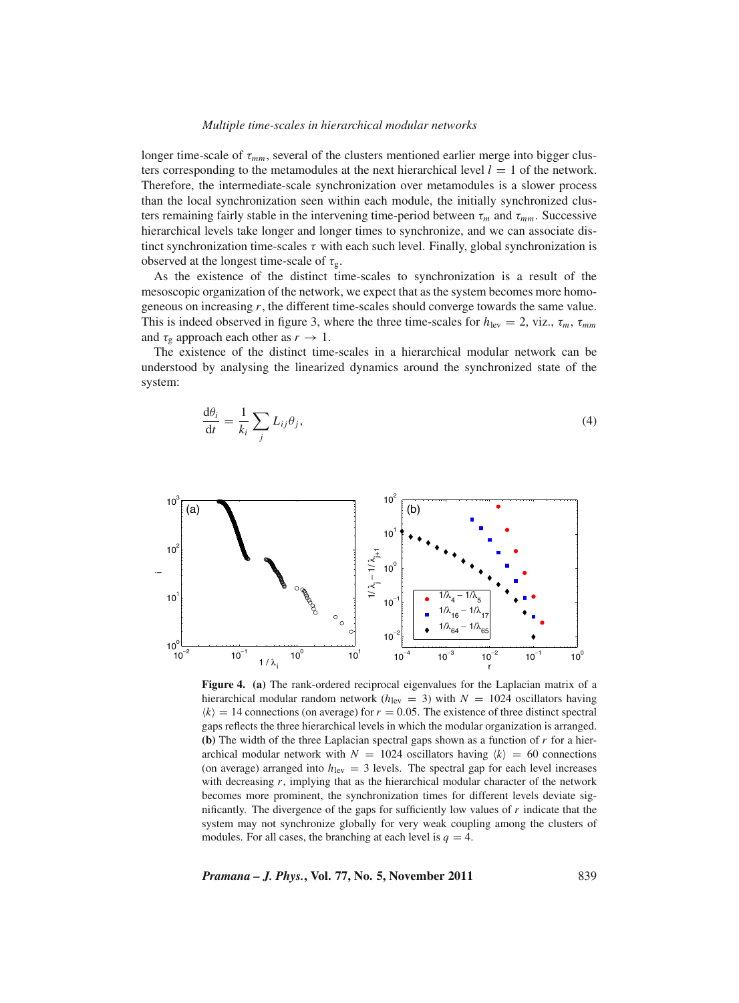#### *Multiple time-scales in hierarchical modular networks*

longer time-scale of τ*mm*, several of the clusters mentioned earlier merge into bigger clusters corresponding to the metamodules at the next hierarchical level  $l = 1$  of the network. Therefore, the intermediate-scale synchronization over metamodules is a slower process than the local synchronization seen within each module, the initially synchronized clusters remaining fairly stable in the intervening time-period between  $\tau_m$  and  $\tau_{mm}$ . Successive hierarchical levels take longer and longer times to synchronize, and we can associate distinct synchronization time-scales  $\tau$  with each such level. Finally, global synchronization is observed at the longest time-scale of  $\tau_{\varphi}$ .

As the existence of the distinct time-scales to synchronization is a result of the mesoscopic organization of the network, we expect that as the system becomes more homogeneous on increasing *r*, the different time-scales should converge towards the same value. This is indeed observed in figure 3, where the three time-scales for  $h_{\text{lev}} = 2$ , viz.,  $\tau_m$ ,  $\tau_{mm}$ and  $\tau_g$  approach each other as  $r \to 1$ .

The existence of the distinct time-scales in a hierarchical modular network can be understood by analysing the linearized dynamics around the synchronized state of the system:

$$
\frac{\mathrm{d}\theta_i}{\mathrm{d}t} = \frac{1}{k_i} \sum_j L_{ij} \theta_j,\tag{4}
$$



**Figure 4. (a)** The rank-ordered reciprocal eigenvalues for the Laplacian matrix of a hierarchical modular random network ( $h_{\text{lev}} = 3$ ) with  $N = 1024$  oscillators having  $\langle k \rangle = 14$  connections (on average) for  $r = 0.05$ . The existence of three distinct spectral gaps reflects the three hierarchical levels in which the modular organization is arranged. **(b)** The width of the three Laplacian spectral gaps shown as a function of *r* for a hierarchical modular network with  $N = 1024$  oscillators having  $\langle k \rangle = 60$  connections (on average) arranged into  $h_{\text{lev}} = 3$  levels. The spectral gap for each level increases with decreasing  $r$ , implying that as the hierarchical modular character of the network becomes more prominent, the synchronization times for different levels deviate significantly. The divergence of the gaps for sufficiently low values of *r* indicate that the system may not synchronize globally for very weak coupling among the clusters of modules. For all cases, the branching at each level is  $q = 4$ .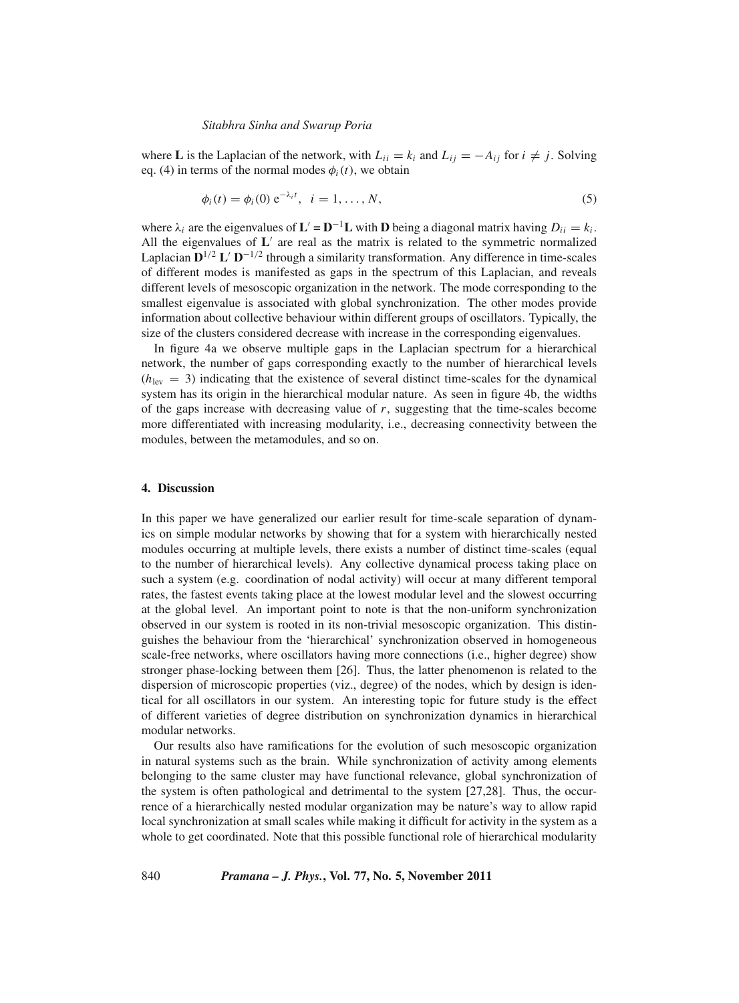where **L** is the Laplacian of the network, with  $L_{ii} = k_i$  and  $L_{ii} = -A_{ii}$  for  $i \neq j$ . Solving eq. (4) in terms of the normal modes  $\phi_i(t)$ , we obtain

$$
\phi_i(t) = \phi_i(0) e^{-\lambda_i t}, \quad i = 1, ..., N,
$$
\n(5)

where  $\lambda_i$  are the eigenvalues of  $\mathbf{L}' = \mathbf{D}^{-1}\mathbf{L}$  with  $\mathbf{D}$  being a diagonal matrix having  $D_{ii} = k_i$ . All the eigenvalues of  $L'$  are real as the matrix is related to the symmetric normalized Laplacian  $D^{1/2} L' D^{-1/2}$  through a similarity transformation. Any difference in time-scales of different modes is manifested as gaps in the spectrum of this Laplacian, and reveals different levels of mesoscopic organization in the network. The mode corresponding to the smallest eigenvalue is associated with global synchronization. The other modes provide information about collective behaviour within different groups of oscillators. Typically, the size of the clusters considered decrease with increase in the corresponding eigenvalues.

In figure 4a we observe multiple gaps in the Laplacian spectrum for a hierarchical network, the number of gaps corresponding exactly to the number of hierarchical levels  $(h_{\text{lev}} = 3)$  indicating that the existence of several distinct time-scales for the dynamical system has its origin in the hierarchical modular nature. As seen in figure 4b, the widths of the gaps increase with decreasing value of *r*, suggesting that the time-scales become more differentiated with increasing modularity, i.e., decreasing connectivity between the modules, between the metamodules, and so on.

## **4. Discussion**

In this paper we have generalized our earlier result for time-scale separation of dynamics on simple modular networks by showing that for a system with hierarchically nested modules occurring at multiple levels, there exists a number of distinct time-scales (equal to the number of hierarchical levels). Any collective dynamical process taking place on such a system (e.g. coordination of nodal activity) will occur at many different temporal rates, the fastest events taking place at the lowest modular level and the slowest occurring at the global level. An important point to note is that the non-uniform synchronization observed in our system is rooted in its non-trivial mesoscopic organization. This distinguishes the behaviour from the 'hierarchical' synchronization observed in homogeneous scale-free networks, where oscillators having more connections (i.e., higher degree) show stronger phase-locking between them [26]. Thus, the latter phenomenon is related to the dispersion of microscopic properties (viz., degree) of the nodes, which by design is identical for all oscillators in our system. An interesting topic for future study is the effect of different varieties of degree distribution on synchronization dynamics in hierarchical modular networks.

Our results also have ramifications for the evolution of such mesoscopic organization in natural systems such as the brain. While synchronization of activity among elements belonging to the same cluster may have functional relevance, global synchronization of the system is often pathological and detrimental to the system [27,28]. Thus, the occurrence of a hierarchically nested modular organization may be nature's way to allow rapid local synchronization at small scales while making it difficult for activity in the system as a whole to get coordinated. Note that this possible functional role of hierarchical modularity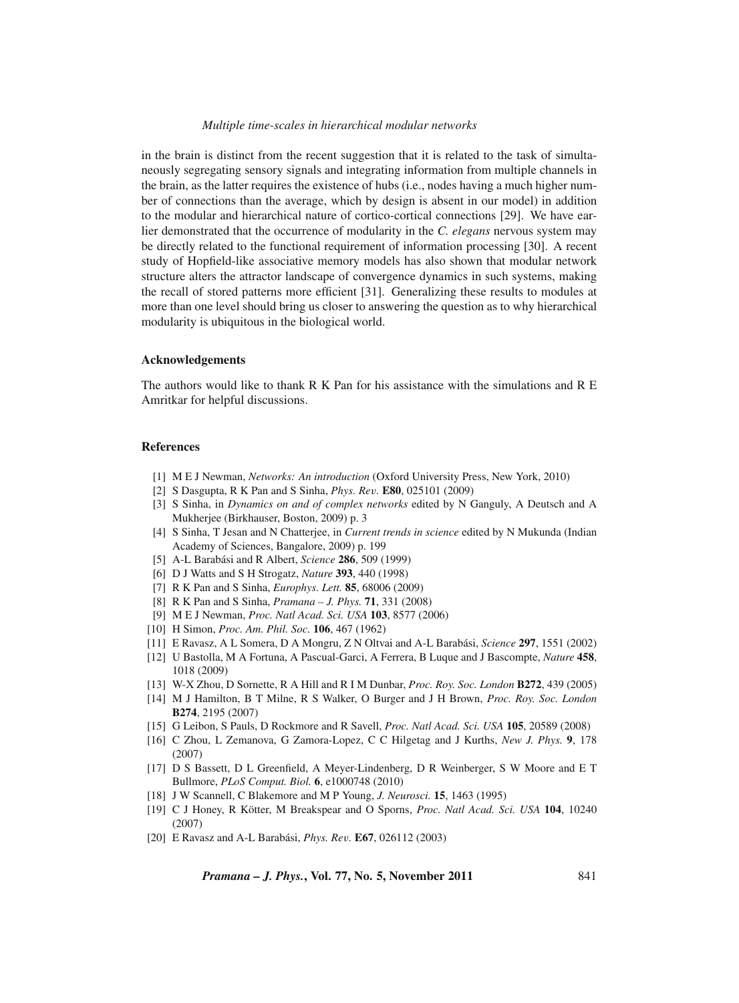## *Multiple time-scales in hierarchical modular networks*

in the brain is distinct from the recent suggestion that it is related to the task of simultaneously segregating sensory signals and integrating information from multiple channels in the brain, as the latter requires the existence of hubs (i.e., nodes having a much higher number of connections than the average, which by design is absent in our model) in addition to the modular and hierarchical nature of cortico-cortical connections [29]. We have earlier demonstrated that the occurrence of modularity in the *C. elegans* nervous system may be directly related to the functional requirement of information processing [30]. A recent study of Hopfield-like associative memory models has also shown that modular network structure alters the attractor landscape of convergence dynamics in such systems, making the recall of stored patterns more efficient [31]. Generalizing these results to modules at more than one level should bring us closer to answering the question as to why hierarchical modularity is ubiquitous in the biological world.

#### **Acknowledgements**

The authors would like to thank R K Pan for his assistance with the simulations and R E Amritkar for helpful discussions.

### **References**

- [1] M E J Newman, *Networks: An introduction* (Oxford University Press, New York, 2010)
- [2] S Dasgupta, R K Pan and S Sinha, *Phys. Re*v*.* **E80**, 025101 (2009)
- [3] S Sinha, in *Dynamics on and of complex networks* edited by N Ganguly, A Deutsch and A Mukherjee (Birkhauser, Boston, 2009) p. 3
- [4] S Sinha, T Jesan and N Chatterjee, in *Current trends in science* edited by N Mukunda (Indian Academy of Sciences, Bangalore, 2009) p. 199
- [5] A-L Barabási and R Albert, *Science* **286**, 509 (1999)
- [6] D J Watts and S H Strogatz, *Nature* **393**, 440 (1998)
- [7] R K Pan and S Sinha, *Europhys. Lett.* **85**, 68006 (2009)
- [8] R K Pan and S Sinha, *Pramana J. Phys.* **71**, 331 (2008)
- [9] M E J Newman, *Proc. Natl Acad. Sci. USA* **103**, 8577 (2006)
- [10] H Simon, *Proc. Am. Phil. Soc.* **106**, 467 (1962)
- [11] E Ravasz, A L Somera, D A Mongru, Z N Oltvai and A-L Barabási, *Science* **297**, 1551 (2002)
- [12] U Bastolla, M A Fortuna, A Pascual-Garci, A Ferrera, B Luque and J Bascompte, *Nature* **458**, 1018 (2009)
- [13] W-X Zhou, D Sornette, R A Hill and R I M Dunbar, *Proc. Roy. Soc. London* **B272**, 439 (2005)
- [14] M J Hamilton, B T Milne, R S Walker, O Burger and J H Brown, *Proc. Roy. Soc. London* **B274**, 2195 (2007)
- [15] G Leibon, S Pauls, D Rockmore and R Savell, *Proc. Natl Acad. Sci. USA* **105**, 20589 (2008)
- [16] C Zhou, L Zemanova, G Zamora-Lopez, C C Hilgetag and J Kurths, *New J. Phys.* **9**, 178 (2007)
- [17] D S Bassett, D L Greenfield, A Meyer-Lindenberg, D R Weinberger, S W Moore and E T Bullmore, *PLoS Comput. Biol.* **6**, e1000748 (2010)
- [18] J W Scannell, C Blakemore and M P Young, *J. Neurosci.* **15**, 1463 (1995)
- [19] C J Honey, R Kötter, M Breakspear and O Sporns, *Proc. Natl Acad. Sci. USA* **104**, 10240 (2007)
- [20] E Ravasz and A-L Barabási, *Phys. Re*v*.* **E67**, 026112 (2003)